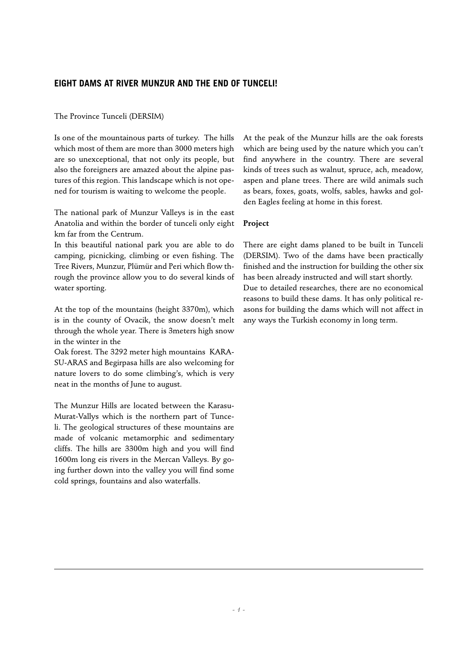# **EIGHT DAMS AT RIVER MUNZUR AND THE END OF TUNCELI!**

### The Province Tunceli (DERSIM)

Is one of the mountainous parts of turkey. The hills which most of them are more than 3000 meters high are so unexceptional, that not only its people, but also the foreigners are amazed about the alpine pastures of this region. This landscape which is not opened for tourism is waiting to welcome the people.

The national park of Munzur Valleys is in the east Anatolia and within the border of tunceli only eight km far from the Centrum.

In this beautiful national park you are able to do camping, picnicking, climbing or even fishing. The Tree Rivers, Munzur, Plümür and Peri which flow through the province allow you to do several kinds of water sporting.

At the top of the mountains (height 3370m), which is in the county of Ovacik, the snow doesn't melt through the whole year. There is 3meters high snow in the winter in the

Oak forest. The 3292 meter high mountains KARA-SU-ARAS and Begirpasa hills are also welcoming for nature lovers to do some climbing's, which is very neat in the months of June to august.

The Munzur Hills are located between the Karasu-Murat-Vallys which is the northern part of Tunceli. The geological structures of these mountains are made of volcanic metamorphic and sedimentary cliffs. The hills are 3300m high and you will find 1600m long eis rivers in the Mercan Valleys. By going further down into the valley you will find some cold springs, fountains and also waterfalls.

At the peak of the Munzur hills are the oak forests which are being used by the nature which you can't find anywhere in the country. There are several kinds of trees such as walnut, spruce, ach, meadow, aspen and plane trees. There are wild animals such as bears, foxes, goats, wolfs, sables, hawks and golden Eagles feeling at home in this forest.

## **Project**

There are eight dams planed to be built in Tunceli (DERSIM). Two of the dams have been practically finished and the instruction for building the other six has been already instructed and will start shortly. Due to detailed researches, there are no economical reasons to build these dams. It has only political reasons for building the dams which will not affect in any ways the Turkish economy in long term.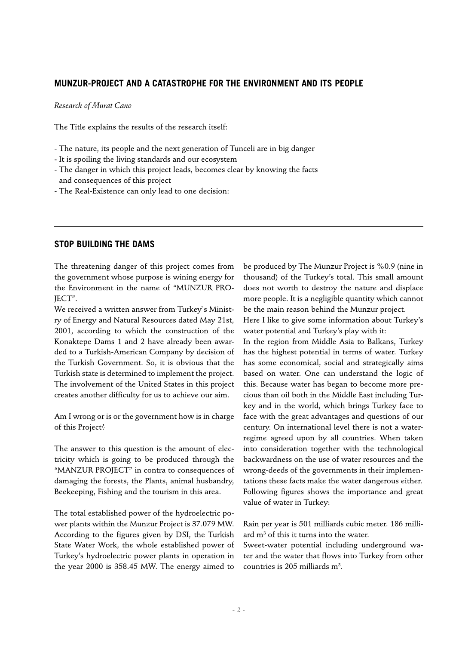### **MUNZUR-PROJECT AND A CATASTROPHE FOR THE ENVIRONMENT AND ITS PEOPLE**

*Research of Murat Cano*

The Title explains the results of the research itself:

- The nature, its people and the next generation of Tunceli are in big danger

- It is spoiling the living standards and our ecosystem

- The danger in which this project leads, becomes clear by knowing the facts and consequences of this project
- The Real-Existence can only lead to one decision:

## **STOP BUILDING THE DAMS**

The threatening danger of this project comes from the government whose purpose is wining energy for the Environment in the name of "MUNZUR PRO-JECT".

We received a written answer from Turkey`s Ministry of Energy and Natural Resources dated May 21st, 2001, according to which the construction of the Konaktepe Dams 1 and 2 have already been awarded to a Turkish-American Company by decision of the Turkish Government. So, it is obvious that the Turkish state is determined to implement the project. The involvement of the United States in this project creates another difficulty for us to achieve our aim.

Am I wrong or is or the government how is in charge of this Project?

The answer to this question is the amount of electricity which is going to be produced through the "MANZUR PROJECT" in contra to consequences of damaging the forests, the Plants, animal husbandry, Beekeeping, Fishing and the tourism in this area.

The total established power of the hydroelectric power plants within the Munzur Project is 37.079 MW. According to the figures given by DSI, the Turkish State Water Work, the whole established power of Turkey's hydroelectric power plants in operation in the year 2000 is 358.45 MW. The energy aimed to

be produced by The Munzur Project is %0.9 (nine in thousand) of the Turkey's total. This small amount does not worth to destroy the nature and displace more people. It is a negligible quantity which cannot be the main reason behind the Munzur project.

Here I like to give some information about Turkey's water potential and Turkey's play with it:

In the region from Middle Asia to Balkans, Turkey has the highest potential in terms of water. Turkey has some economical, social and strategically aims based on water. One can understand the logic of this. Because water has began to become more precious than oil both in the Middle East including Turkey and in the world, which brings Turkey face to face with the great advantages and questions of our century. On international level there is not a waterregime agreed upon by all countries. When taken into consideration together with the technological backwardness on the use of water resources and the wrong-deeds of the governments in their implementations these facts make the water dangerous either. Following figures shows the importance and great value of water in Turkey:

Rain per year is 501 milliards cubic meter. 186 milliard m3 of this it turns into the water.

Sweet-water potential including underground water and the water that flows into Turkey from other countries is 205 milliards m<sup>3</sup>.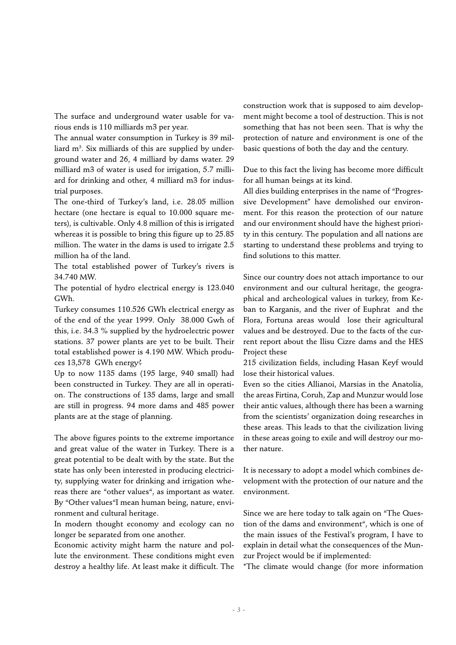The surface and underground water usable for various ends is 110 milliards m3 per year.

The annual water consumption in Turkey is 39 milliard m3 . Six milliards of this are supplied by underground water and 26, 4 milliard by dams water. 29 milliard m3 of water is used for irrigation, 5.7 milliard for drinking and other, 4 milliard m3 for industrial purposes.

The one-third of Turkey's land, i.e. 28.05 million hectare (one hectare is equal to 10.000 square meters), is cultivable. Only 4.8 million of this is irrigated whereas it is possible to bring this figure up to 25.85 million. The water in the dams is used to irrigate 2.5 million ha of the land.

The total established power of Turkey's rivers is 34.740 MW.

The potential of hydro electrical energy is 123.040 GWh.

Turkey consumes 110.526 GWh electrical energy as of the end of the year 1999. Only 38.000 Gwh of this, i.e. 34.3 % supplied by the hydroelectric power stations. 37 power plants are yet to be built. Their total established power is 4.190 MW. Which produces 13,578 GWh energy?

Up to now 1135 dams (195 large, 940 small) had been constructed in Turkey. They are all in operation. The constructions of 135 dams, large and small are still in progress. 94 more dams and 485 power plants are at the stage of planning.

The above figures points to the extreme importance and great value of the water in Turkey. There is a great potential to be dealt with by the state. But the state has only been interested in producing electricity, supplying water for drinking and irrigation whereas there are "other values", as important as water. By "Other values"I mean human being, nature, environment and cultural heritage.

In modern thought economy and ecology can no longer be separated from one another.

Economic activity might harm the nature and pollute the environment. These conditions might even destroy a healthy life. At least make it difficult. The construction work that is supposed to aim development might become a tool of destruction. This is not something that has not been seen. That is why the protection of nature and environment is one of the basic questions of both the day and the century.

Due to this fact the living has become more difficult for all human beings at its kind.

All dies building enterprises in the name of "Progressive Development" have demolished our environment. For this reason the protection of our nature and our environment should have the highest priority in this century. The population and all nations are starting to understand these problems and trying to find solutions to this matter.

Since our country does not attach importance to our environment and our cultural heritage, the geographical and archeological values in turkey, from Keban to Karganis, and the river of Euphrat and the Flora, Fortuna areas would lose their agricultural values and be destroyed. Due to the facts of the current report about the Ilisu Cizre dams and the HES Project these

215 civilization fields, including Hasan Keyf would lose their historical values.

Even so the cities Allianoi, Marsias in the Anatolia, the areas Firtina, Coruh, Zap and Munzur would lose their antic values, although there has been a warning from the scientists' organization doing researches in these areas. This leads to that the civilization living in these areas going to exile and will destroy our mother nature.

It is necessary to adopt a model which combines development with the protection of our nature and the environment.

Since we are here today to talk again on "The Question of the dams and environment", which is one of the main issues of the Festival's program, I have to explain in detail what the consequences of the Munzur Project would be if implemented:

\*The climate would change (for more information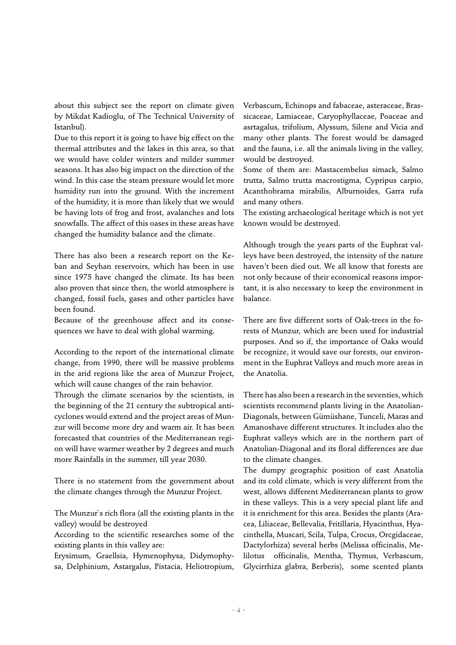about this subject see the report on climate given by Mikdat Kadioglu, of The Technical University of Istanbul).

Due to this report it is going to have big effect on the thermal attributes and the lakes in this area, so that we would have colder winters and milder summer seasons. It has also big impact on the direction of the wind. In this case the steam pressure would let more humidity run into the ground. With the increment of the humidity, it is more than likely that we would be having lots of frog and frost, avalanches and lots snowfalls. The affect of this oases in these areas have changed the humidity balance and the climate.

There has also been a research report on the Keban and Seyhan reservoirs, which has been in use since 1975 have changed the climate. Its has been also proven that since then, the world atmosphere is changed, fossil fuels, gases and other particles have been found.

Because of the greenhouse affect and its consequences we have to deal with global warming.

According to the report of the international climate change, from 1990, there will be massive problems in the arid regions like the area of Munzur Project, which will cause changes of the rain behavior.

Through the climate scenarios by the scientists, in the beginning of the 21 century the subtropical anticyclones would extend and the project areas of Munzur will become more dry and warm air. It has been forecasted that countries of the Mediterranean region will have warmer weather by 2 degrees and much more Rainfalls in the summer, till year 2030.

There is no statement from the government about the climate changes through the Munzur Project.

The Munzur`s rich flora (all the existing plants in the valley) would be destroyed

According to the scientific researches some of the existing plants in this valley are:

Erysimum, Graellsia, Hymenophysa, Didymophysa, Delphinium, Astargalus, Pistacia, Heliotropium, Verbascum, Echinops and fabaceae, asteraceae, Brassicaceae, Lamiaceae, Caryophyllaceae, Poaceae and asrtagalus, trifolium, Alyssum, Silene and Vicia and many other plants. The forest would be damaged and the fauna, i.e. all the animals living in the valley, would be destroyed.

Some of them are: Mastacembelus simack, Salmo trutta, Salmo trutta macrostigma, Cypripus carpio, Acanthobrama mirabilis, Alburnoides, Garra rufa and many others.

The existing archaeological heritage which is not yet known would be destroyed.

Although trough the years parts of the Euphrat valleys have been destroyed, the intensity of the nature haven't been died out. We all know that forests are not only because of their economical reasons important, it is also necessary to keep the environment in balance.

There are five different sorts of Oak-trees in the forests of Munzur, which are been used for industrial purposes. And so if, the importance of Oaks would be recognize, it would save our forests, our environment in the Euphrat Valleys and much more areas in the Anatolia.

There has also been a research in the seventies, which scientists recommend plants living in the Anatolian-Diagonals, between Gümüshane, Tunceli, Maras and Amanoshave different structures. It includes also the Euphrat valleys which are in the northern part of Anatolian-Diagonal and its floral differences are due to the climate changes.

The dumpy geographic position of east Anatolia and its cold climate, which is very different from the west, allows different Mediterranean plants to grow in these valleys. This is a very special plant life and it is enrichment for this area. Besides the plants (Aracea, Liliaceae, Bellevalia, Fritillaria, Hyacinthus, Hyacinthella, Muscari, Scila, Tulpa, Crocus, Orcgidaceae, Dactylorhiza) several herbs (Melissa officinalis, Melilotus officinalis, Mentha, Thymus, Verbascum, Glycirrhiza glabra, Berberis), some scented plants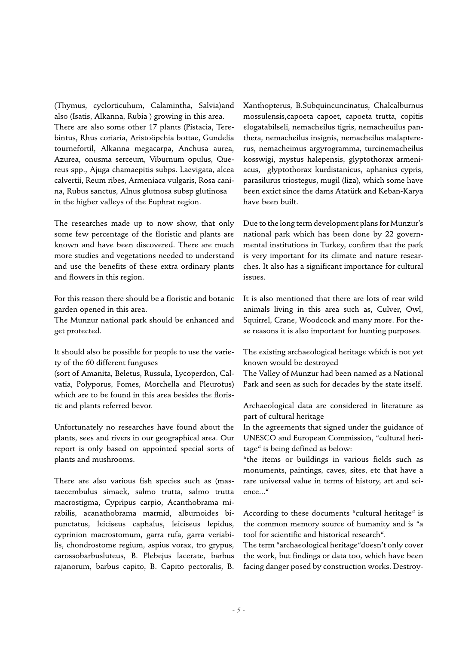(Thymus, cyclorticuhum, Calamintha, Salvia)and also (Isatis, Alkanna, Rubia ) growing in this area. There are also some other 17 plants (Pistacia, Terebintus, Rhus coriaria, Aristoöpchia bottae, Gundelia tournefortil, Alkanna megacarpa, Anchusa aurea, Azurea, onusma serceum, Viburnum opulus, Quereus spp., Ajuga chamaepitis subps. Laevigata, alcea calvertii, Reum ribes, Armeniaca vulgaris, Rosa canina, Rubus sanctus, Alnus glutnosa subsp glutinosa in the higher valleys of the Euphrat region.

The researches made up to now show, that only some few percentage of the floristic and plants are known and have been discovered. There are much more studies and vegetations needed to understand and use the benefits of these extra ordinary plants and flowers in this region.

For this reason there should be a floristic and botanic garden opened in this area.

The Munzur national park should be enhanced and get protected.

It should also be possible for people to use the variety of the 60 different funguses

(sort of Amanita, Beletus, Russula, Lycoperdon, Calvatia, Polyporus, Fomes, Morchella and Pleurotus) which are to be found in this area besides the floristic and plants referred bevor.

Unfortunately no researches have found about the plants, sees and rivers in our geographical area. Our report is only based on appointed special sorts of plants and mushrooms.

There are also various fish species such as (mastaecembulus simaek, salmo trutta, salmo trutta macrostigma, Cypripus carpio, Acanthobrama mirabilis, acanathobrama marmid, alburnoides bipunctatus, leiciseus caphalus, leiciseus lepidus, cyprinion macrostomum, garra rufa, garra veriabilis, chondrostome regium, aspius vorax, tro grypus, carossobarbusluteus, B. Plebejus lacerate, barbus rajanorum, barbus capito, B. Capito pectoralis, B.

Xanthopterus, B.Subquincuncinatus, Chalcalburnus mossulensis,capoeta capoet, capoeta trutta, copitis elogatabilseli, nemacheilus tigris, nemacheuilus panthera, nemacheilus insignis, nemacheilus malaptererus, nemacheimus argyrogramma, turcinemacheilus kosswigi, mystus halepensis, glyptothorax armeniacus, glyptothorax kurdistanicus, aphanius cypris, parasilurus triostegus, mugil (liza), which some have been extict since the dams Atatürk and Keban-Karya have been built.

Due to the long term development plans for Munzur's national park which has been done by 22 governmental institutions in Turkey, confirm that the park is very important for its climate and nature researches. It also has a significant importance for cultural issues.

It is also mentioned that there are lots of rear wild animals living in this area such as, Culver, Owl, Squirrel, Crane, Woodcock and many more. For these reasons it is also important for hunting purposes.

The existing archaeological heritage which is not yet known would be destroyed

The Valley of Munzur had been named as a National Park and seen as such for decades by the state itself.

Archaeological data are considered in literature as part of cultural heritage

In the agreements that signed under the guidance of UNESCO and European Commission, "cultural heritage" is being defined as below:

"the items or buildings in various fields such as monuments, paintings, caves, sites, etc that have a rare universal value in terms of history, art and science..."

According to these documents "cultural heritage" is the common memory source of humanity and is "a tool for scientific and historical research".

The term "archaeological heritage"doesn't only cover the work, but findings or data too, which have been facing danger posed by construction works. Destroy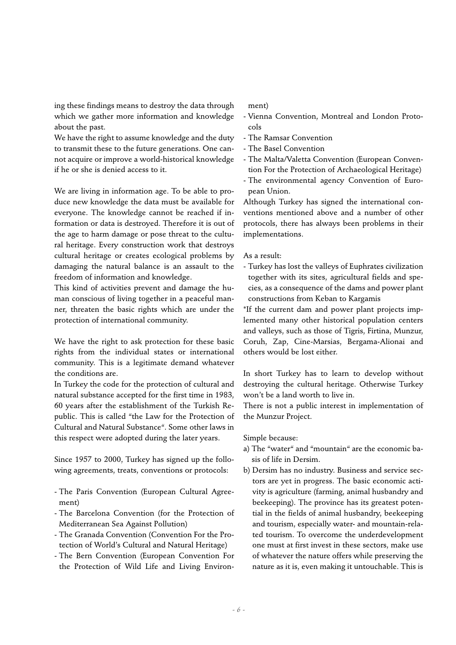ing these findings means to destroy the data through which we gather more information and knowledge about the past.

We have the right to assume knowledge and the duty to transmit these to the future generations. One cannot acquire or improve a world-historical knowledge if he or she is denied access to it.

We are living in information age. To be able to produce new knowledge the data must be available for everyone. The knowledge cannot be reached if information or data is destroyed. Therefore it is out of the age to harm damage or pose threat to the cultural heritage. Every construction work that destroys cultural heritage or creates ecological problems by damaging the natural balance is an assault to the freedom of information and knowledge.

This kind of activities prevent and damage the human conscious of living together in a peaceful manner, threaten the basic rights which are under the protection of international community.

We have the right to ask protection for these basic rights from the individual states or international community. This is a legitimate demand whatever the conditions are.

In Turkey the code for the protection of cultural and natural substance accepted for the first time in 1983, 60 years after the establishment of the Turkish Republic. This is called "the Law for the Protection of Cultural and Natural Substance". Some other laws in this respect were adopted during the later years.

Since 1957 to 2000, Turkey has signed up the following agreements, treats, conventions or protocols:

- The Paris Convention (European Cultural Agreement)
- The Barcelona Convention (for the Protection of Mediterranean Sea Against Pollution)
- The Granada Convention (Convention For the Protection of World's Cultural and Natural Heritage)
- The Bern Convention (European Convention For the Protection of Wild Life and Living Environ-

## ment)

- Vienna Convention, Montreal and London Protocols
- The Ramsar Convention
- The Basel Convention
- The Malta/Valetta Convention (European Convention For the Protection of Archaeological Heritage)
- The environmental agency Convention of European Union.

Although Turkey has signed the international conventions mentioned above and a number of other protocols, there has always been problems in their implementations.

#### As a result:

- Turkey has lost the valleys of Euphrates civilization together with its sites, agricultural fields and species, as a consequence of the dams and power plant constructions from Keban to Kargamis

\*If the current dam and power plant projects implemented many other historical population centers and valleys, such as those of Tigris, Firtina, Munzur, Coruh, Zap, Cine-Marsias, Bergama-Alionai and others would be lost either.

In short Turkey has to learn to develop without destroying the cultural heritage. Otherwise Turkey won't be a land worth to live in.

There is not a public interest in implementation of the Munzur Project.

#### Simple because:

- a) The "water" and "mountain" are the economic basis of life in Dersim.
- b) Dersim has no industry. Business and service sectors are yet in progress. The basic economic activity is agriculture (farming, animal husbandry and beekeeping). The province has its greatest potential in the fields of animal husbandry, beekeeping and tourism, especially water- and mountain-related tourism. To overcome the underdevelopment one must at first invest in these sectors, make use of whatever the nature offers while preserving the nature as it is, even making it untouchable. This is